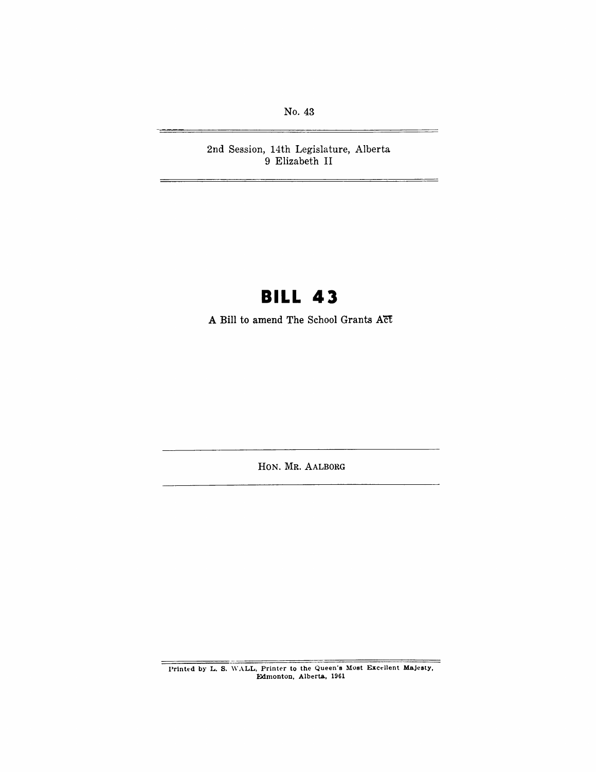No. 43

2nd Session, 14th Legislature, Alberta 9 Elizabeth II

# **BILL 43**

**A Bill** to amend The School Grants **ACt** 

HON. MR. AALBORG

Printed by L. S. WALL, Printer to the Queen's Most Excellent Majesty, Edmonton, Alberta, 1961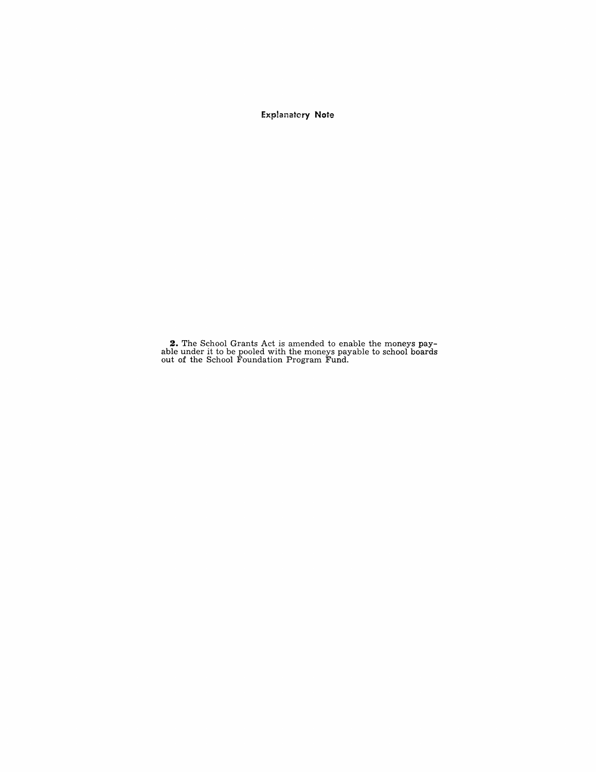Exp!anatory **Note** 

**2.** The School Grants Act is amended to enable the moneys pay-able under it to be pooled with the moneys payable to school boards out of the School Foundation Program Fund.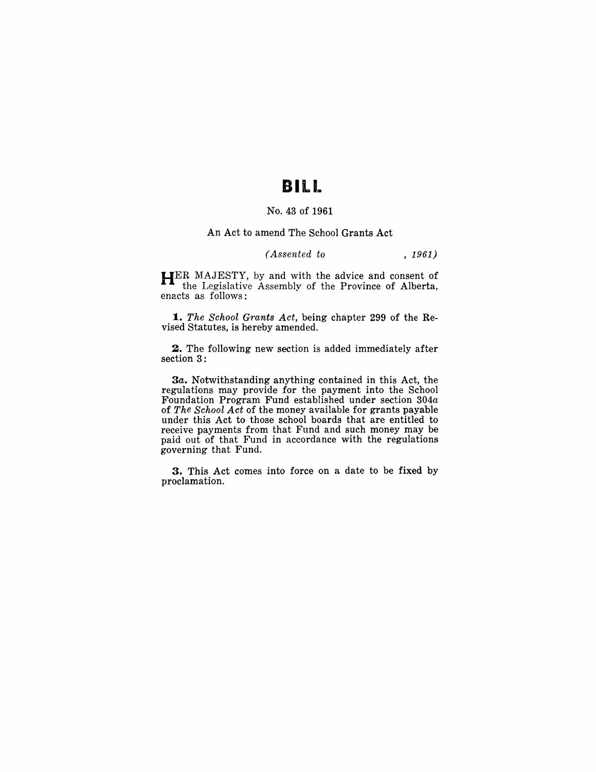# **BILL**

## No. 43 of 1961

#### An Act to amend The School Grants Act

### *(Assented to* , 1961)

HER MAJESTY, by and with the advice and consent of the Legislative Assembly of the Province of Alberta, enacts as follows:

*1. The School Grants Act,* being chapter 299 of the Revised Statutes, is hereby amended.

2. The following new section is added immediately after section 3:

3a. Notwithstanding anything contained in this Act, the regulations may provide for the payment into the School Foundation Program Fund established under section *304a*  of *The School Act* of the money available for grants payable under this Act to those school boards that are entitled to receive payments from that Fund and such money may be paid out of that Fund in accordance with the regulations governing that Fund.

3. This Act comes into force on a date to be fixed by proclamation.